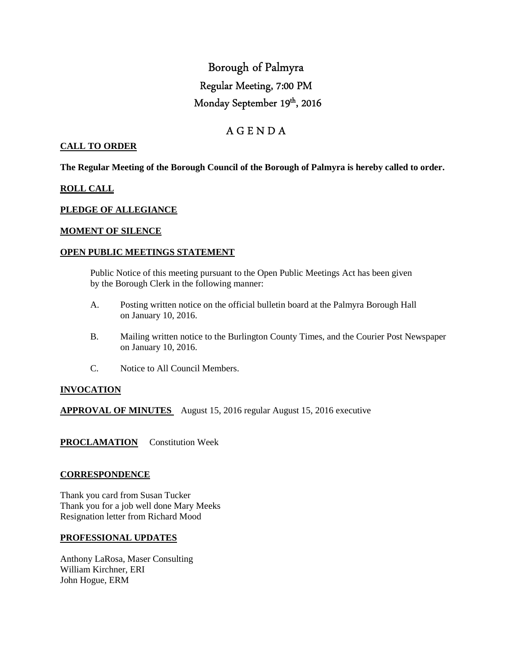# Borough of Palmyra Regular Meeting, 7:00 PM Monday September 19th, 2016

# A G E N D A

# **CALL TO ORDER**

**The Regular Meeting of the Borough Council of the Borough of Palmyra is hereby called to order.** 

# **ROLL CALL**

# **PLEDGE OF ALLEGIANCE**

# **MOMENT OF SILENCE**

#### **OPEN PUBLIC MEETINGS STATEMENT**

 Public Notice of this meeting pursuant to the Open Public Meetings Act has been given by the Borough Clerk in the following manner:

- A. Posting written notice on the official bulletin board at the Palmyra Borough Hall on January 10, 2016.
- B. Mailing written notice to the Burlington County Times, and the Courier Post Newspaper on January 10, 2016.
- C. Notice to All Council Members.

# **INVOCATION**

**APPROVAL OF MINUTES** August 15, 2016 regular August 15, 2016 executive

**PROCLAMATION** Constitution Week

# **CORRESPONDENCE**

Thank you card from Susan Tucker Thank you for a job well done Mary Meeks Resignation letter from Richard Mood

# **PROFESSIONAL UPDATES**

Anthony LaRosa, Maser Consulting William Kirchner, ERI John Hogue, ERM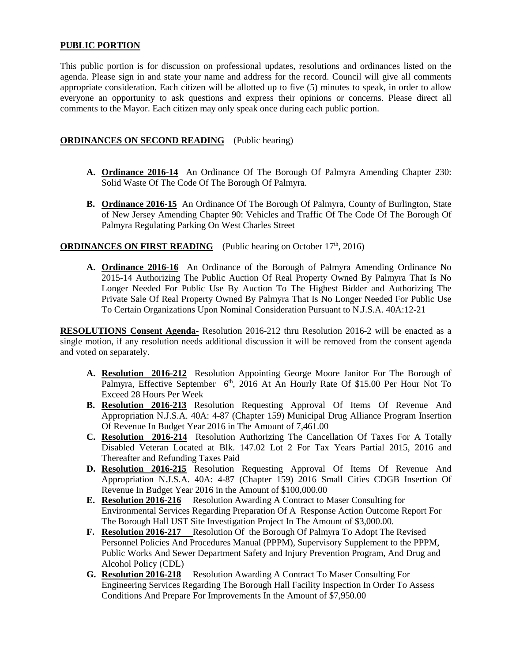# **PUBLIC PORTION**

This public portion is for discussion on professional updates, resolutions and ordinances listed on the agenda. Please sign in and state your name and address for the record. Council will give all comments appropriate consideration. Each citizen will be allotted up to five (5) minutes to speak, in order to allow everyone an opportunity to ask questions and express their opinions or concerns. Please direct all comments to the Mayor. Each citizen may only speak once during each public portion.

# **ORDINANCES ON SECOND READING** (Public hearing)

- **A. Ordinance 2016-14** An Ordinance Of The Borough Of Palmyra Amending Chapter 230: Solid Waste Of The Code Of The Borough Of Palmyra.
- **B. Ordinance 2016-15** An Ordinance Of The Borough Of Palmyra, County of Burlington, State of New Jersey Amending Chapter 90: Vehicles and Traffic Of The Code Of The Borough Of Palmyra Regulating Parking On West Charles Street

# **ORDINANCES ON FIRST READING** (Public hearing on October 17<sup>th</sup>, 2016)

**A. Ordinance 2016-16** An Ordinance of the Borough of Palmyra Amending Ordinance No 2015-14 Authorizing The Public Auction Of Real Property Owned By Palmyra That Is No Longer Needed For Public Use By Auction To The Highest Bidder and Authorizing The Private Sale Of Real Property Owned By Palmyra That Is No Longer Needed For Public Use To Certain Organizations Upon Nominal Consideration Pursuant to N.J.S.A. 40A:12-21

**RESOLUTIONS Consent Agenda-** Resolution 2016-212 thru Resolution 2016-2 will be enacted as a single motion, if any resolution needs additional discussion it will be removed from the consent agenda and voted on separately.

- **A. Resolution 2016-212** Resolution Appointing George Moore Janitor For The Borough of Palmyra, Effective September  $6<sup>th</sup>$ , 2016 At An Hourly Rate Of \$15.00 Per Hour Not To Exceed 28 Hours Per Week
- **B. Resolution 2016-213** Resolution Requesting Approval Of Items Of Revenue And Appropriation N.J.S.A. 40A: 4-87 (Chapter 159) Municipal Drug Alliance Program Insertion Of Revenue In Budget Year 2016 in The Amount of 7,461.00
- **C. Resolution 2016-214** Resolution Authorizing The Cancellation Of Taxes For A Totally Disabled Veteran Located at Blk. 147.02 Lot 2 For Tax Years Partial 2015, 2016 and Thereafter and Refunding Taxes Paid
- **D. Resolution 2016-215** Resolution Requesting Approval Of Items Of Revenue And Appropriation N.J.S.A. 40A: 4-87 (Chapter 159) 2016 Small Cities CDGB Insertion Of Revenue In Budget Year 2016 in the Amount of \$100,000.00
- **E. Resolution 2016-216** Resolution Awarding A Contract to Maser Consulting for Environmental Services Regarding Preparation Of A Response Action Outcome Report For The Borough Hall UST Site Investigation Project In The Amount of \$3,000.00.
- **F. Resolution 2016-217** Resolution Of the Borough Of Palmyra To Adopt The Revised Personnel Policies And Procedures Manual (PPPM), Supervisory Supplement to the PPPM, Public Works And Sewer Department Safety and Injury Prevention Program, And Drug and Alcohol Policy (CDL)
- **G. Resolution 2016-218** Resolution Awarding A Contract To Maser Consulting For Engineering Services Regarding The Borough Hall Facility Inspection In Order To Assess Conditions And Prepare For Improvements In the Amount of \$7,950.00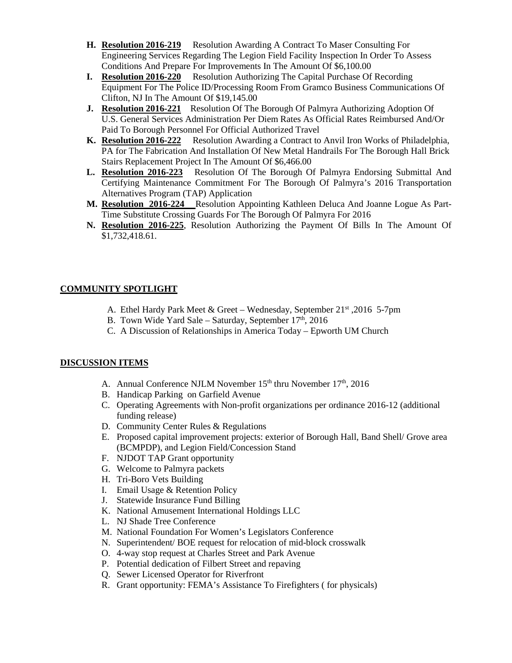- **H. Resolution 2016-219** Resolution Awarding A Contract To Maser Consulting For Engineering Services Regarding The Legion Field Facility Inspection In Order To Assess Conditions And Prepare For Improvements In The Amount Of \$6,100.00
- **I. Resolution 2016-220** Resolution Authorizing The Capital Purchase Of Recording Equipment For The Police ID/Processing Room From Gramco Business Communications Of Clifton, NJ In The Amount Of \$19,145.00
- **J. Resolution 2016-221** Resolution Of The Borough Of Palmyra Authorizing Adoption Of U.S. General Services Administration Per Diem Rates As Official Rates Reimbursed And/Or Paid To Borough Personnel For Official Authorized Travel
- **K. Resolution 2016-222** Resolution Awarding a Contract to Anvil Iron Works of Philadelphia, PA for The Fabrication And Installation Of New Metal Handrails For The Borough Hall Brick Stairs Replacement Project In The Amount Of \$6,466.00
- **L. Resolution 2016-223** Resolution Of The Borough Of Palmyra Endorsing Submittal And Certifying Maintenance Commitment For The Borough Of Palmyra's 2016 Transportation Alternatives Program (TAP) Application
- **M. Resolution 2016-224** Resolution Appointing Kathleen Deluca And Joanne Logue As Part-Time Substitute Crossing Guards For The Borough Of Palmyra For 2016
- **N. Resolution 2016-225**, Resolution Authorizing the Payment Of Bills In The Amount Of \$1,732,418.61.

# **COMMUNITY SPOTLIGHT**

- A. Ethel Hardy Park Meet & Greet Wednesday, September 21st ,2016 5-7pm
- B. Town Wide Yard Sale Saturday, September  $17<sup>th</sup>$ , 2016
- C. A Discussion of Relationships in America Today Epworth UM Church

# **DISCUSSION ITEMS**

- A. Annual Conference NJLM November  $15<sup>th</sup>$  thru November  $17<sup>th</sup>$ , 2016
- B. Handicap Parking on Garfield Avenue
- C. Operating Agreements with Non-profit organizations per ordinance 2016-12 (additional funding release)
- D. Community Center Rules & Regulations
- E. Proposed capital improvement projects: exterior of Borough Hall, Band Shell/ Grove area (BCMPDP), and Legion Field/Concession Stand
- F. NJDOT TAP Grant opportunity
- G. Welcome to Palmyra packets
- H. Tri-Boro Vets Building
- I. Email Usage & Retention Policy
- J. Statewide Insurance Fund Billing
- K. National Amusement International Holdings LLC
- L. NJ Shade Tree Conference
- M. National Foundation For Women's Legislators Conference
- N. Superintendent/ BOE request for relocation of mid-block crosswalk
- O. 4-way stop request at Charles Street and Park Avenue
- P. Potential dedication of Filbert Street and repaving
- Q. Sewer Licensed Operator for Riverfront
- R. Grant opportunity: FEMA's Assistance To Firefighters ( for physicals)